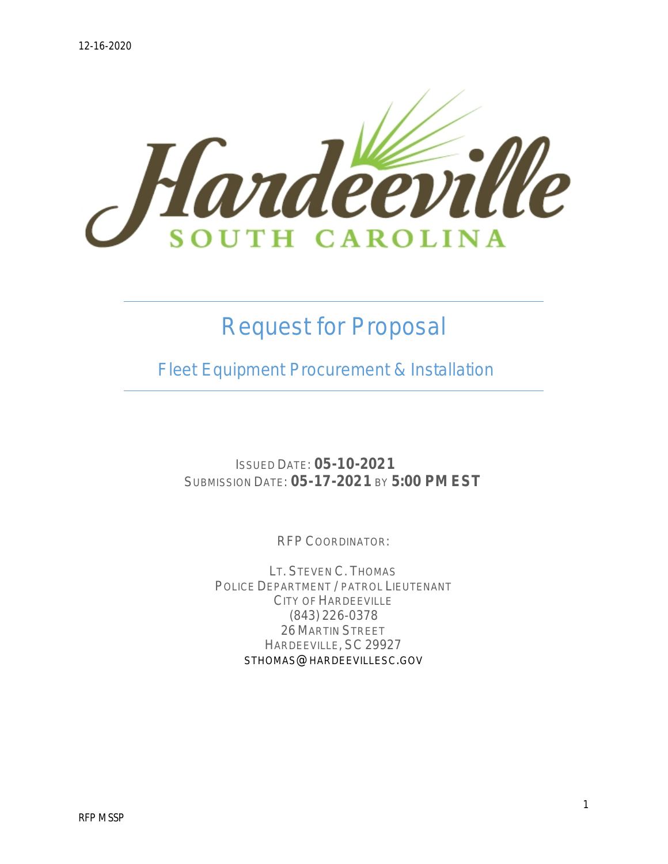

# *Request for Proposal*

 *Fleet Equipment Procurement & Installation*

ISSUED DATE: **05-10-2021** SUBMISSION DATE: **05-17-2021** BY **5:00 PM EST**

RFP COORDINATOR:

LT. STEVEN C. THOMAS POLICE DEPARTMENT / PATROL LIEUTENANT CITY OF HARDEEVILLE (843) 226-0378 26 MARTIN STREET HARDEEVILLE, SC 29927 STHOMAS@HARDEEVILLESC.GOV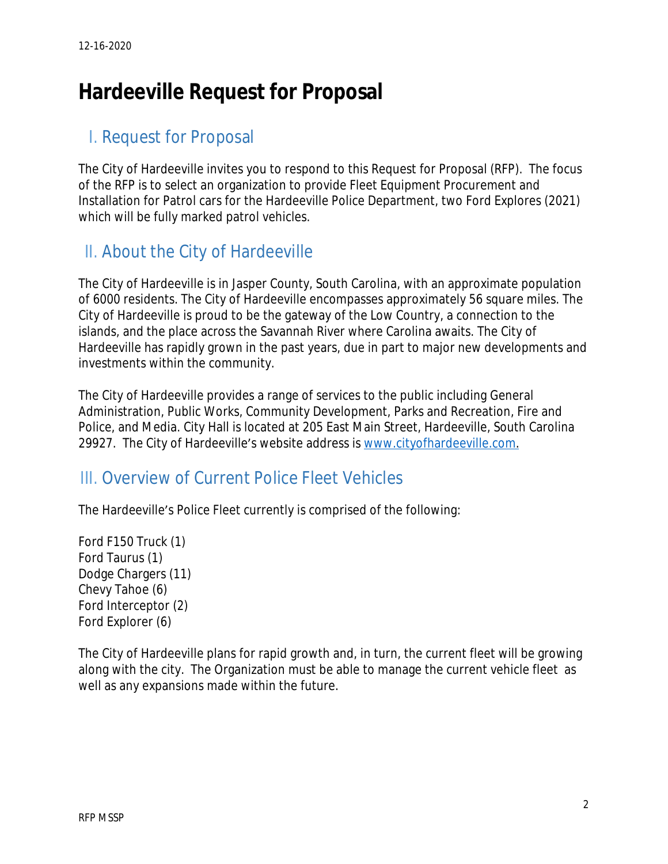# **Hardeeville Request for Proposal**

## I. Request for Proposal

The City of Hardeeville invites you to respond to this Request for Proposal (RFP). The focus of the RFP is to select an organization to provide Fleet Equipment Procurement and Installation for Patrol cars for the Hardeeville Police Department, two Ford Explores (2021) which will be fully marked patrol vehicles.

# II. About the City of Hardeeville

The City of Hardeeville is in Jasper County, South Carolina, with an approximate population of 6000 residents. The City of Hardeeville encompasses approximately 56 square miles. The City of Hardeeville is proud to be the gateway of the Low Country, a connection to the islands, and the place across the Savannah River where Carolina awaits. The City of Hardeeville has rapidly grown in the past years, due in part to major new developments and investments within the community.

The City of Hardeeville provides a range of services to the public including General Administration, Public Works, Community Development, Parks and Recreation, Fire and Police, and Media. City Hall is located at 205 East Main Street, Hardeeville, South Carolina 29927. The City of Hardeeville's website address is [www.cityofhardeeville.com.](http://www.cityofhardeeville.com)

### III. Overview of Current Police Fleet Vehicles

The Hardeeville's Police Fleet currently is comprised of the following:

Ford F150 Truck (1) Ford Taurus (1) Dodge Chargers (11) Chevy Tahoe (6) Ford Interceptor (2) Ford Explorer (6)

The City of Hardeeville plans for rapid growth and, in turn, the current fleet will be growing along with the city. The Organization must be able to manage the current vehicle fleet as well as any expansions made within the future.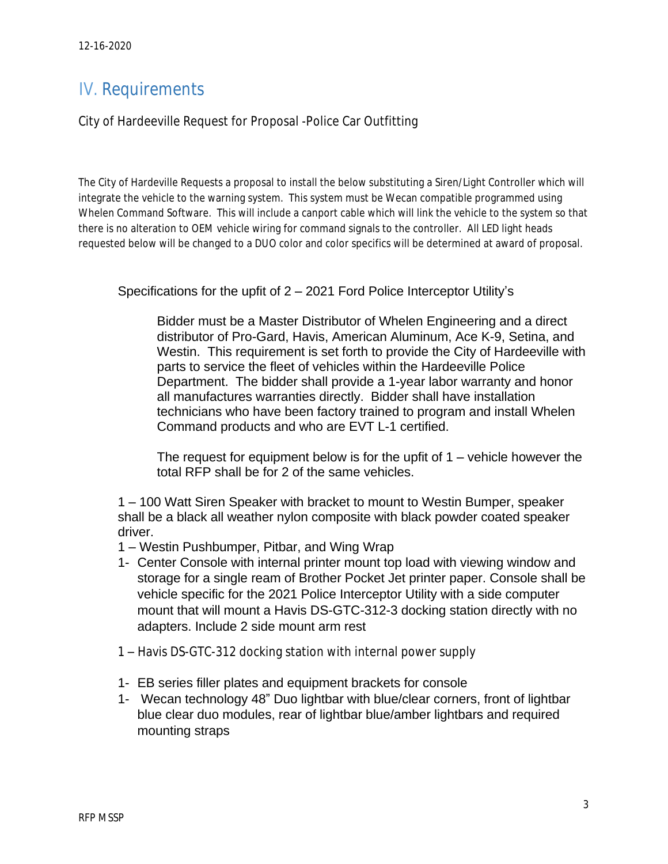# IV. Requirements

City of Hardeeville Request for Proposal -Police Car Outfitting

The City of Hardeville Requests a proposal to install the below substituting a Siren/Light Controller which will integrate the vehicle to the warning system. This system must be Wecan compatible programmed using Whelen Command Software. This will include a canport cable which will link the vehicle to the system so that there is no alteration to OEM vehicle wiring for command signals to the controller. All LED light heads requested below will be changed to a DUO color and color specifics will be determined at award of proposal.

Specifications for the upfit of 2 – 2021 Ford Police Interceptor Utility's

Bidder must be a Master Distributor of Whelen Engineering and a direct distributor of Pro-Gard, Havis, American Aluminum, Ace K-9, Setina, and Westin. This requirement is set forth to provide the City of Hardeeville with parts to service the fleet of vehicles within the Hardeeville Police Department. The bidder shall provide a 1-year labor warranty and honor all manufactures warranties directly. Bidder shall have installation technicians who have been factory trained to program and install Whelen Command products and who are EVT L-1 certified.

The request for equipment below is for the upfit of  $1$  – vehicle however the total RFP shall be for 2 of the same vehicles.

1 – 100 Watt Siren Speaker with bracket to mount to Westin Bumper, speaker shall be a black all weather nylon composite with black powder coated speaker driver.

- 1 Westin Pushbumper, Pitbar, and Wing Wrap
- 1- Center Console with internal printer mount top load with viewing window and storage for a single ream of Brother Pocket Jet printer paper. Console shall be vehicle specific for the 2021 Police Interceptor Utility with a side computer mount that will mount a Havis DS-GTC-312-3 docking station directly with no adapters. Include 2 side mount arm rest
- 1 Havis DS-GTC-312 docking station with internal power supply
- 1- EB series filler plates and equipment brackets for console
- 1- Wecan technology 48" Duo lightbar with blue/clear corners, front of lightbar blue clear duo modules, rear of lightbar blue/amber lightbars and required mounting straps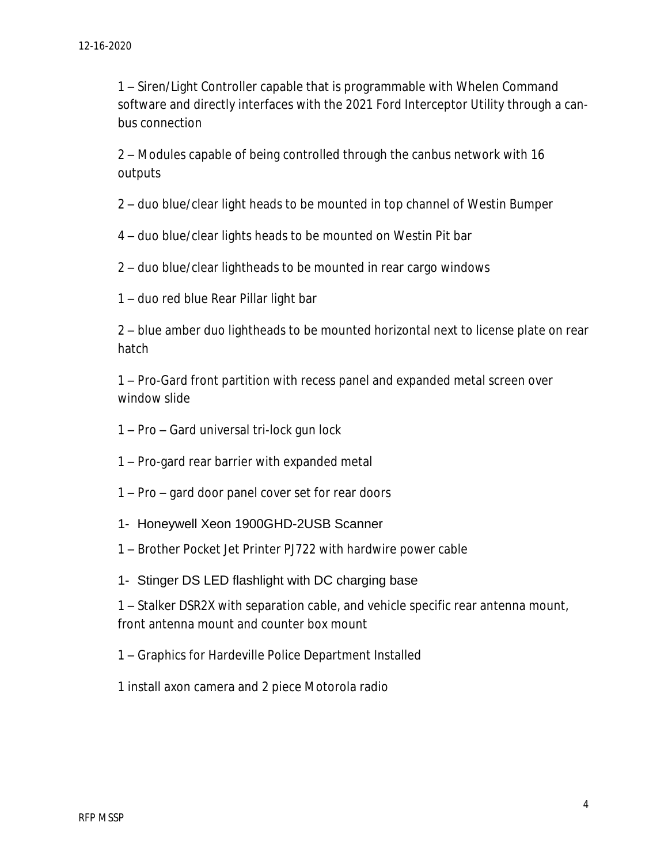– Siren/Light Controller capable that is programmable with Whelen Command software and directly interfaces with the 2021 Ford Interceptor Utility through a canbus connection

 – Modules capable of being controlled through the canbus network with 16 outputs

– duo blue/clear light heads to be mounted in top channel of Westin Bumper

– duo blue/clear lights heads to be mounted on Westin Pit bar

– duo blue/clear lightheads to be mounted in rear cargo windows

– duo red blue Rear Pillar light bar

 – blue amber duo lightheads to be mounted horizontal next to license plate on rear hatch

 – Pro-Gard front partition with recess panel and expanded metal screen over window slide

- Pro Gard universal tri-lock gun lock
- Pro-gard rear barrier with expanded metal
- Pro gard door panel cover set for rear doors
- 1- Honeywell Xeon 1900GHD-2USB Scanner
- Brother Pocket Jet Printer PJ722 with hardwire power cable
- 1- Stinger DS LED flashlight with DC charging base

 – Stalker DSR2X with separation cable, and vehicle specific rear antenna mount, front antenna mount and counter box mount

– Graphics for Hardeville Police Department Installed

install axon camera and 2 piece Motorola radio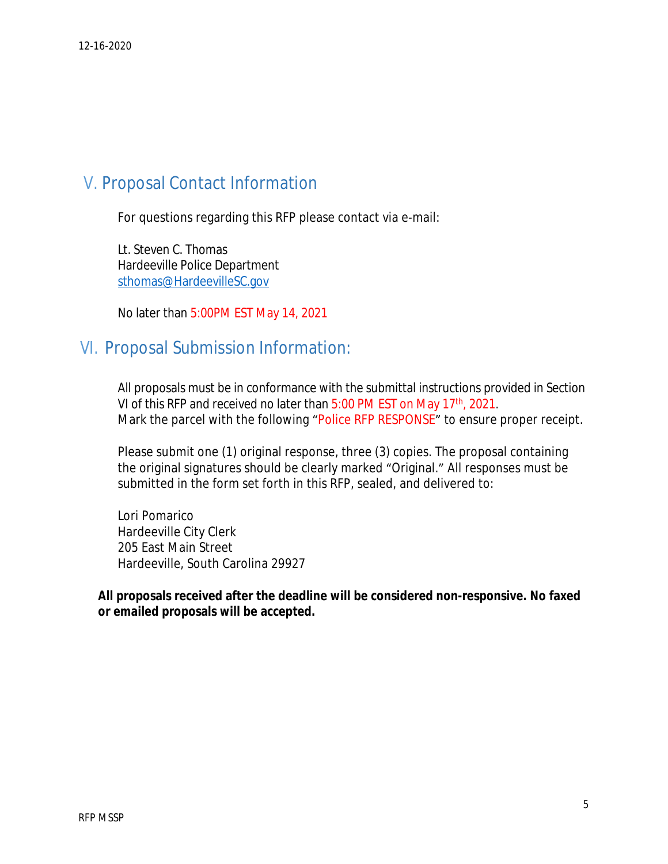### V. Proposal Contact Information

For questions regarding this RFP please contact via e-mail:

Lt. Steven C. Thomas Hardeeville Police Department [sthomas@HardeevilleSC.gov](mailto:sthomas@HardeevilleSC.gov)

No later than 5:00PM EST May 14, 2021

### VI. Proposal Submission Information:

All proposals must be in conformance with the submittal instructions provided in Section VI of this RFP and received no later than 5:00 PM EST on May 17<sup>th</sup>, 2021. Mark the parcel with the following "Police RFP RESPONSE" to ensure proper receipt.

Please submit one (1) original response, three (3) copies. The proposal containing the original signatures should be clearly marked "Original." All responses must be submitted in the form set forth in this RFP, sealed, and delivered to:

Lori Pomarico Hardeeville City Clerk 205 East Main Street Hardeeville, South Carolina 29927

**All proposals received after the deadline will be considered non-responsive. No faxed or emailed proposals will be accepted.**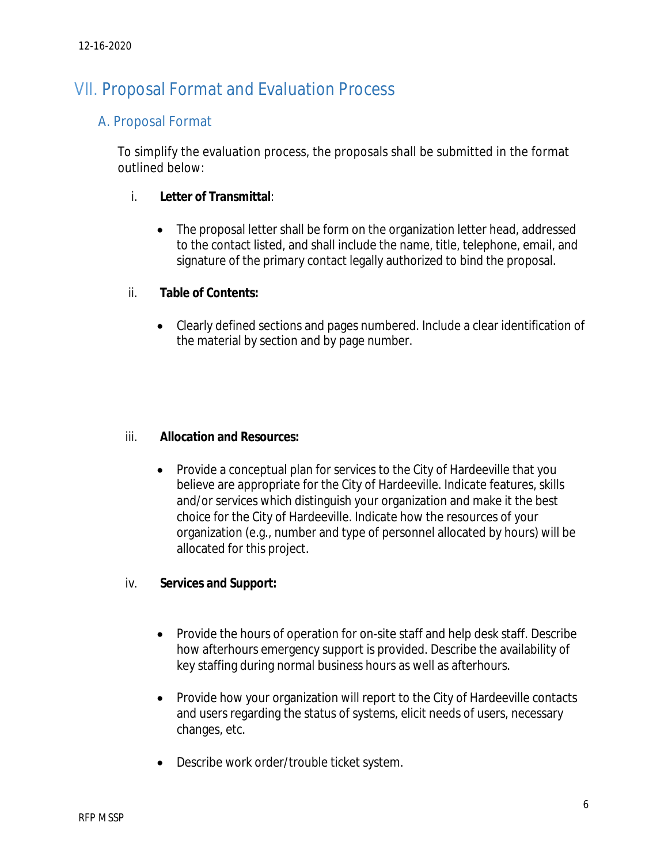## VII. Proposal Format and Evaluation Process

### A. Proposal Format

To simplify the evaluation process, the proposals shall be submitted in the format outlined below:

#### i. **Letter of Transmittal**:

• The proposal letter shall be form on the organization letter head, addressed to the contact listed, and shall include the name, title, telephone, email, and signature of the primary contact legally authorized to bind the proposal.

#### ii. **Table of Contents:**

 Clearly defined sections and pages numbered. Include a clear identification of the material by section and by page number.

#### iii. **Allocation and Resources:**

 Provide a conceptual plan for services to the City of Hardeeville that you believe are appropriate for the City of Hardeeville. Indicate features, skills and/or services which distinguish your organization and make it the best choice for the City of Hardeeville. Indicate how the resources of your organization (e.g., number and type of personnel allocated by hours) will be allocated for this project.

#### iv. **Services and Support:**

- Provide the hours of operation for on-site staff and help desk staff. Describe how afterhours emergency support is provided. Describe the availability of key staffing during normal business hours as well as afterhours.
- Provide how your organization will report to the City of Hardeeville contacts and users regarding the status of systems, elicit needs of users, necessary changes, etc.
- Describe work order/trouble ticket system.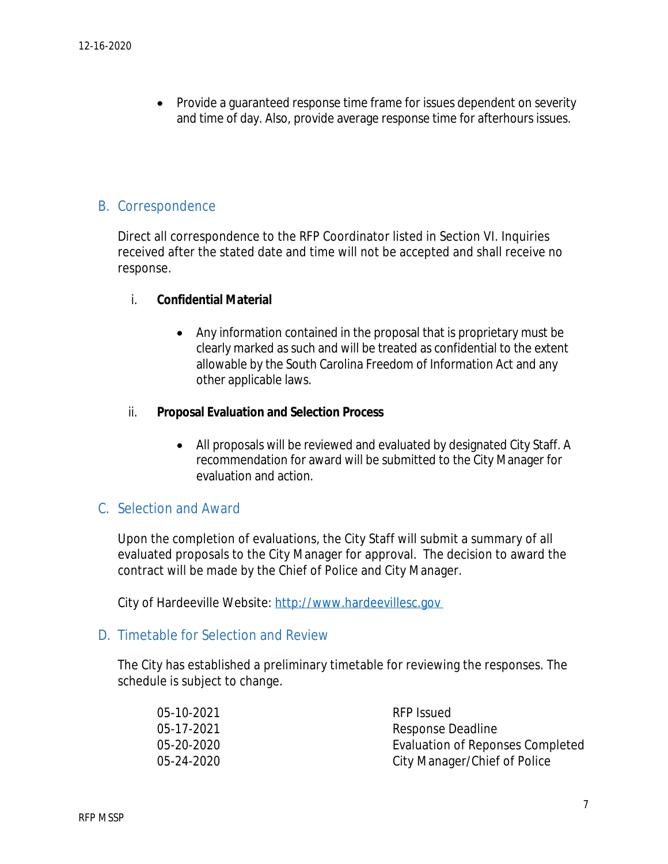Provide a guaranteed response time frame for issues dependent on severity and time of day. Also, provide average response time for afterhours issues.

#### B. Correspondence

Direct all correspondence to the RFP Coordinator listed in Section VI. Inquiries received after the stated date and time will not be accepted and shall receive no response.

#### i. **Confidential Material**

 Any information contained in the proposal that is proprietary must be clearly marked as such and will be treated as confidential to the extent allowable by the South Carolina Freedom of Information Act and any other applicable laws.

#### ii. **Proposal Evaluation and Selection Process**

 All proposals will be reviewed and evaluated by designated City Staff. A recommendation for award will be submitted to the City Manager for evaluation and action.

#### C. Selection and Award

Upon the completion of evaluations, the City Staff will submit a summary of all evaluated proposals to the City Manager for approval. The decision to award the contract will be made by the Chief of Police and City Manager.

City of Hardeeville Website: <http://www.hardeevillesc.gov>

#### D. Timetable for Selection and Review

The City has established a preliminary timetable for reviewing the responses. The schedule is subject to change.

| 05-10-2021 | RFP Issued                       |
|------------|----------------------------------|
| 05-17-2021 | Response Deadline                |
| 05-20-2020 | Evaluation of Reponses Completed |
| 05-24-2020 | City Manager/Chief of Police     |